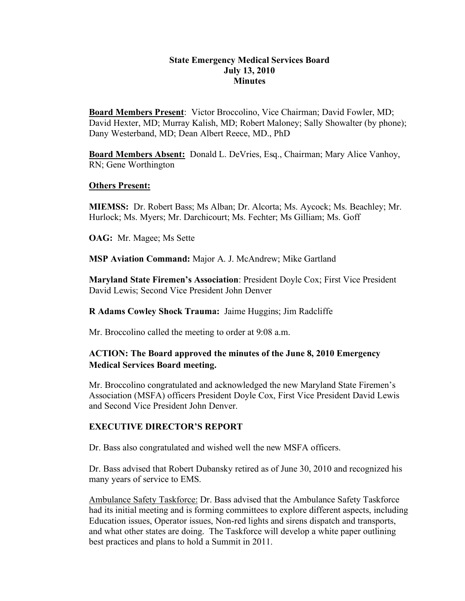## **State Emergency Medical Services Board July 13, 2010 Minutes**

**Board Members Present**: Victor Broccolino, Vice Chairman; David Fowler, MD; David Hexter, MD; Murray Kalish, MD; Robert Maloney; Sally Showalter (by phone); Dany Westerband, MD; Dean Albert Reece, MD., PhD

**Board Members Absent:** Donald L. DeVries, Esq., Chairman; Mary Alice Vanhoy, RN; Gene Worthington

### **Others Present:**

**MIEMSS:** Dr. Robert Bass; Ms Alban; Dr. Alcorta; Ms. Aycock; Ms. Beachley; Mr. Hurlock; Ms. Myers; Mr. Darchicourt; Ms. Fechter; Ms Gilliam; Ms. Goff

**OAG:** Mr. Magee; Ms Sette

**MSP Aviation Command:** Major A. J. McAndrew; Mike Gartland

**Maryland State Firemen's Association**: President Doyle Cox; First Vice President David Lewis; Second Vice President John Denver

**R Adams Cowley Shock Trauma:** Jaime Huggins; Jim Radcliffe

Mr. Broccolino called the meeting to order at 9:08 a.m.

# **ACTION: The Board approved the minutes of the June 8, 2010 Emergency Medical Services Board meeting.**

Mr. Broccolino congratulated and acknowledged the new Maryland State Firemen's Association (MSFA) officers President Doyle Cox, First Vice President David Lewis and Second Vice President John Denver.

## **EXECUTIVE DIRECTOR'S REPORT**

Dr. Bass also congratulated and wished well the new MSFA officers.

Dr. Bass advised that Robert Dubansky retired as of June 30, 2010 and recognized his many years of service to EMS.

Ambulance Safety Taskforce: Dr. Bass advised that the Ambulance Safety Taskforce had its initial meeting and is forming committees to explore different aspects, including Education issues, Operator issues, Non-red lights and sirens dispatch and transports, and what other states are doing. The Taskforce will develop a white paper outlining best practices and plans to hold a Summit in 2011.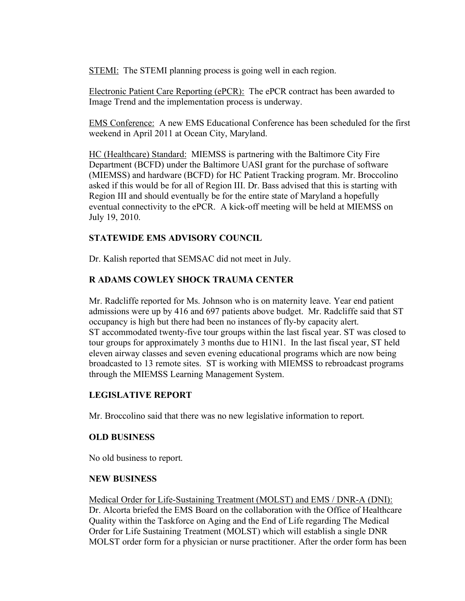STEMI: The STEMI planning process is going well in each region.

Electronic Patient Care Reporting (ePCR): The ePCR contract has been awarded to Image Trend and the implementation process is underway.

EMS Conference: A new EMS Educational Conference has been scheduled for the first weekend in April 2011 at Ocean City, Maryland.

HC (Healthcare) Standard: MIEMSS is partnering with the Baltimore City Fire Department (BCFD) under the Baltimore UASI grant for the purchase of software (MIEMSS) and hardware (BCFD) for HC Patient Tracking program. Mr. Broccolino asked if this would be for all of Region III. Dr. Bass advised that this is starting with Region III and should eventually be for the entire state of Maryland a hopefully eventual connectivity to the ePCR. A kick-off meeting will be held at MIEMSS on July 19, 2010.

## **STATEWIDE EMS ADVISORY COUNCIL**

Dr. Kalish reported that SEMSAC did not meet in July.

# **R ADAMS COWLEY SHOCK TRAUMA CENTER**

Mr. Radcliffe reported for Ms. Johnson who is on maternity leave. Year end patient admissions were up by 416 and 697 patients above budget. Mr. Radcliffe said that ST occupancy is high but there had been no instances of fly-by capacity alert. ST accommodated twenty-five tour groups within the last fiscal year. ST was closed to tour groups for approximately 3 months due to H1N1. In the last fiscal year, ST held eleven airway classes and seven evening educational programs which are now being broadcasted to 13 remote sites. ST is working with MIEMSS to rebroadcast programs through the MIEMSS Learning Management System.

## **LEGISLATIVE REPORT**

Mr. Broccolino said that there was no new legislative information to report.

## **OLD BUSINESS**

No old business to report.

### **NEW BUSINESS**

Medical Order for Life-Sustaining Treatment (MOLST) and EMS / DNR-A (DNI): Dr. Alcorta briefed the EMS Board on the collaboration with the Office of Healthcare Quality within the Taskforce on Aging and the End of Life regarding The Medical Order for Life Sustaining Treatment (MOLST) which will establish a single DNR MOLST order form for a physician or nurse practitioner. After the order form has been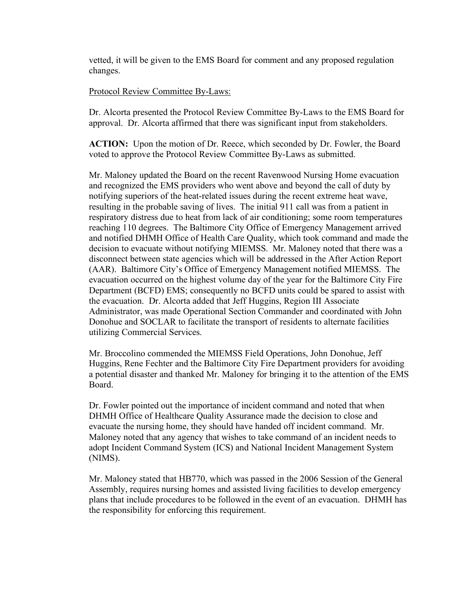vetted, it will be given to the EMS Board for comment and any proposed regulation changes.

## Protocol Review Committee By-Laws:

Dr. Alcorta presented the Protocol Review Committee By-Laws to the EMS Board for approval. Dr. Alcorta affirmed that there was significant input from stakeholders.

**ACTION:** Upon the motion of Dr. Reece, which seconded by Dr. Fowler, the Board voted to approve the Protocol Review Committee By-Laws as submitted.

Mr. Maloney updated the Board on the recent Ravenwood Nursing Home evacuation and recognized the EMS providers who went above and beyond the call of duty by notifying superiors of the heat-related issues during the recent extreme heat wave, resulting in the probable saving of lives. The initial 911 call was from a patient in respiratory distress due to heat from lack of air conditioning; some room temperatures reaching 110 degrees. The Baltimore City Office of Emergency Management arrived and notified DHMH Office of Health Care Quality, which took command and made the decision to evacuate without notifying MIEMSS. Mr. Maloney noted that there was a disconnect between state agencies which will be addressed in the After Action Report (AAR). Baltimore City's Office of Emergency Management notified MIEMSS. The evacuation occurred on the highest volume day of the year for the Baltimore City Fire Department (BCFD) EMS; consequently no BCFD units could be spared to assist with the evacuation. Dr. Alcorta added that Jeff Huggins, Region III Associate Administrator, was made Operational Section Commander and coordinated with John Donohue and SOCLAR to facilitate the transport of residents to alternate facilities utilizing Commercial Services.

Mr. Broccolino commended the MIEMSS Field Operations, John Donohue, Jeff Huggins, Rene Fechter and the Baltimore City Fire Department providers for avoiding a potential disaster and thanked Mr. Maloney for bringing it to the attention of the EMS Board.

Dr. Fowler pointed out the importance of incident command and noted that when DHMH Office of Healthcare Quality Assurance made the decision to close and evacuate the nursing home, they should have handed off incident command. Mr. Maloney noted that any agency that wishes to take command of an incident needs to adopt Incident Command System (ICS) and National Incident Management System (NIMS).

Mr. Maloney stated that HB770, which was passed in the 2006 Session of the General Assembly, requires nursing homes and assisted living facilities to develop emergency plans that include procedures to be followed in the event of an evacuation. DHMH has the responsibility for enforcing this requirement.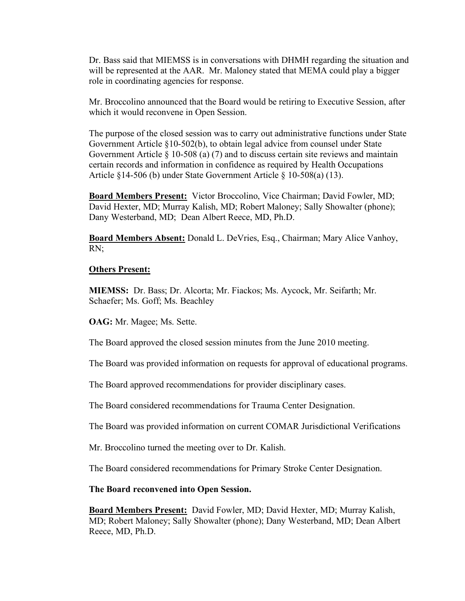Dr. Bass said that MIEMSS is in conversations with DHMH regarding the situation and will be represented at the AAR. Mr. Maloney stated that MEMA could play a bigger role in coordinating agencies for response.

Mr. Broccolino announced that the Board would be retiring to Executive Session, after which it would reconvene in Open Session.

The purpose of the closed session was to carry out administrative functions under State Government Article §10-502(b), to obtain legal advice from counsel under State Government Article § 10-508 (a) (7) and to discuss certain site reviews and maintain certain records and information in confidence as required by Health Occupations Article §14-506 (b) under State Government Article § 10-508(a) (13).

**Board Members Present:** Victor Broccolino, Vice Chairman; David Fowler, MD; David Hexter, MD; Murray Kalish, MD; Robert Maloney; Sally Showalter (phone); Dany Westerband, MD; Dean Albert Reece, MD, Ph.D.

**Board Members Absent:** Donald L. DeVries, Esq., Chairman; Mary Alice Vanhoy, RN;

#### **Others Present:**

**MIEMSS:** Dr. Bass; Dr. Alcorta; Mr. Fiackos; Ms. Aycock, Mr. Seifarth; Mr. Schaefer; Ms. Goff; Ms. Beachley

**OAG:** Mr. Magee; Ms. Sette.

The Board approved the closed session minutes from the June 2010 meeting.

The Board was provided information on requests for approval of educational programs.

The Board approved recommendations for provider disciplinary cases.

The Board considered recommendations for Trauma Center Designation.

The Board was provided information on current COMAR Jurisdictional Verifications

Mr. Broccolino turned the meeting over to Dr. Kalish.

The Board considered recommendations for Primary Stroke Center Designation.

**The Board reconvened into Open Session.**

**Board Members Present:** David Fowler, MD; David Hexter, MD; Murray Kalish, MD; Robert Maloney; Sally Showalter (phone); Dany Westerband, MD; Dean Albert Reece, MD, Ph.D.